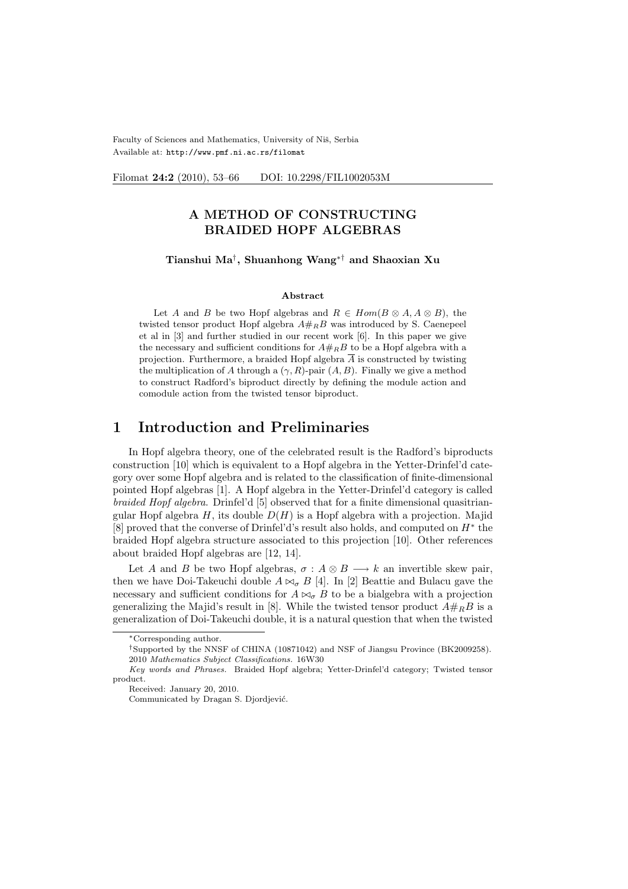Faculty of Sciences and Mathematics, University of Niš, Serbia Available at: http://www.pmf.ni.ac.rs/filomat

Filomat 24:2 (2010), 53-66 DOI: 10.2298/FIL1002053M

## A METHOD OF CONSTRUCTING BRAIDED HOPF ALGEBRAS

Tianshui Ma† , Shuanhong Wang∗† and Shaoxian Xu

#### Abstract

Let A and B be two Hopf algebras and  $R \in Hom(B \otimes A, A \otimes B)$ , the twisted tensor product Hopf algebra  $A#_R B$  was introduced by S. Caenepeel et al in [3] and further studied in our recent work [6]. In this paper we give the necessary and sufficient conditions for  $A#_R B$  to be a Hopf algebra with a projection. Furthermore, a braided Hopf algebra  $\overline{A}$  is constructed by twisting the multiplication of A through a  $(\gamma, R)$ -pair  $(A, B)$ . Finally we give a method to construct Radford's biproduct directly by defining the module action and comodule action from the twisted tensor biproduct.

## 1 Introduction and Preliminaries

In Hopf algebra theory, one of the celebrated result is the Radford's biproducts construction [10] which is equivalent to a Hopf algebra in the Yetter-Drinfel'd category over some Hopf algebra and is related to the classification of finite-dimensional pointed Hopf algebras [1]. A Hopf algebra in the Yetter-Drinfel'd category is called braided Hopf algebra. Drinfel'd [5] observed that for a finite dimensional quasitriangular Hopf algebra H, its double  $D(H)$  is a Hopf algebra with a projection. Majid [8] proved that the converse of Drinfel'd's result also holds, and computed on  $H^*$  the braided Hopf algebra structure associated to this projection [10]. Other references about braided Hopf algebras are [12, 14].

Let A and B be two Hopf algebras,  $\sigma : A \otimes B \longrightarrow k$  an invertible skew pair, then we have Doi-Takeuchi double  $A \bowtie_{\sigma} B$  [4]. In [2] Beattie and Bulacu gave the necessary and sufficient conditions for  $A \bowtie_{\sigma} B$  to be a bialgebra with a projection generalizing the Majid's result in [8]. While the twisted tensor product  $A \#_R B$  is a generalization of Doi-Takeuchi double, it is a natural question that when the twisted

<sup>∗</sup>Corresponding author.

<sup>†</sup>Supported by the NNSF of CHINA (10871042) and NSF of Jiangsu Province (BK2009258). 2010 Mathematics Subject Classifications. 16W30

Key words and Phrases. Braided Hopf algebra; Yetter-Drinfel'd category; Twisted tensor product.

Received: January 20, 2010.

Communicated by Dragan S. Djordjević.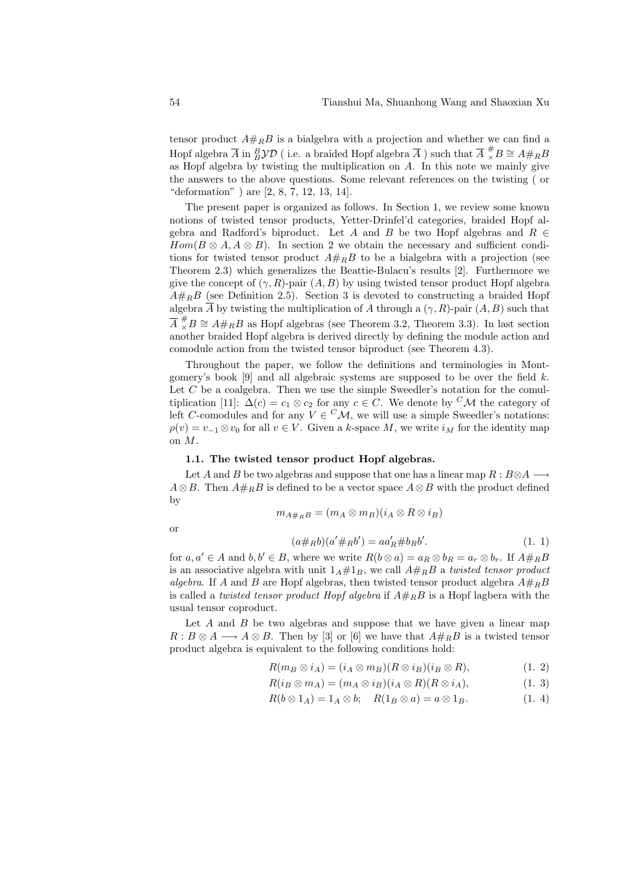tensor product  $A#_R B$  is a bialgebra with a projection and whether we can find a Hopf algebra  $\overline{A}$  in  ${}_B^B \mathcal{YD}$  ( i.e. a braided Hopf algebra  $\overline{A}$  ) such that  $\overline{A}$   ${}^{\#}_\times B \cong A#_R B$ as Hopf algebra by twisting the multiplication on A. In this note we mainly give the answers to the above questions. Some relevant references on the twisting ( or "deformation" ) are [2, 8, 7, 12, 13, 14].

The present paper is organized as follows. In Section 1, we review some known notions of twisted tensor products, Yetter-Drinfel'd categories, braided Hopf algebra and Radford's biproduct. Let A and B be two Hopf algebras and  $R \in$  $Hom(B \otimes A, A \otimes B)$ . In section 2 we obtain the necessary and sufficient conditions for twisted tensor product  $A \#_R B$  to be a bialgebra with a projection (see Theorem 2.3) which generalizes the Beattie-Bulacu's results [2]. Furthermore we give the concept of  $(\gamma, R)$ -pair  $(A, B)$  by using twisted tensor product Hopf algebra  $A#_BB$  (see Definition 2.5). Section 3 is devoted to constructing a braided Hopf algebra  $\overline{A}$  by twisting the multiplication of A through a  $(\gamma, R)$ -pair  $(A, B)$  such that  $\overline{A} \stackrel{\#}{\times} B \cong A \#_R B$  as Hopf algebras (see Theorem 3.2, Theorem 3.3). In last section another braided Hopf algebra is derived directly by defining the module action and comodule action from the twisted tensor biproduct (see Theorem 4.3).

Throughout the paper, we follow the definitions and terminologies in Montgomery's book [9] and all algebraic systems are supposed to be over the field  $k$ . Let C be a coalgebra. Then we use the simple Sweedler's notation for the comultiplication [11]:  $\Delta(c) = c_1 \otimes c_2$  for any  $c \in C$ . We denote by <sup>C</sup>M the category of left C-comodules and for any  $V \in {}^{C}\mathcal{M}$ , we will use a simple Sweedler's notations:  $\rho(v) = v_{-1} \otimes v_0$  for all  $v \in V$ . Given a k-space M, we write  $i_M$  for the identity map on M.

#### 1.1. The twisted tensor product Hopf algebras.

Let A and B be two algebras and suppose that one has a linear map  $R : B \otimes A \longrightarrow$  $A \otimes B$ . Then  $A \#_R B$  is defined to be a vector space  $A \otimes B$  with the product defined by

$$
m_{A\#_RB}=(m_A\otimes m_B)(i_A\otimes R\otimes i_B)
$$

or

$$
(a \#_R b)(a' \#_R b') = a a'_R \# b_R b'. \tag{1. 1}
$$

for  $a, a' \in A$  and  $b, b' \in B$ , where we write  $R(b \otimes a) = a_R \otimes b_R = a_r \otimes b_r$ . If  $A \#_R B$ is an associative algebra with unit  $1_A \# 1_B$ , we call  $A \#_R B$  a twisted tensor product algebra. If A and B are Hopf algebras, then twisted tensor product algebra  $A#_R B$ is called a twisted tensor product Hopf algebra if  $A#_B$ B is a Hopf lagbera with the usual tensor coproduct.

Let  $A$  and  $B$  be two algebras and suppose that we have given a linear map  $R : B \otimes A \longrightarrow A \otimes B$ . Then by [3] or [6] we have that  $A \#_R B$  is a twisted tensor product algebra is equivalent to the following conditions hold:

$$
R(m_B \otimes i_A) = (i_A \otimes m_B)(R \otimes i_B)(i_B \otimes R), \tag{1.2}
$$

$$
R(i_B \otimes m_A) = (m_A \otimes i_B)(i_A \otimes R)(R \otimes i_A), \tag{1.3}
$$

$$
R(b \otimes 1_A) = 1_A \otimes b; \quad R(1_B \otimes a) = a \otimes 1_B. \tag{1.4}
$$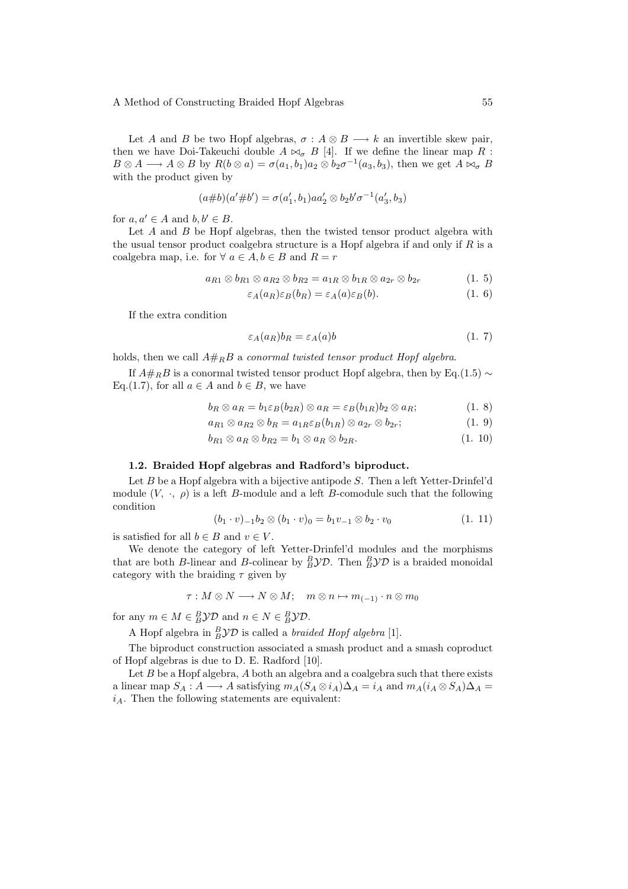Let A and B be two Hopf algebras,  $\sigma : A \otimes B \longrightarrow k$  an invertible skew pair, then we have Doi-Takeuchi double  $A \bowtie_{\sigma} B$  [4]. If we define the linear map R :  $B \otimes A \longrightarrow A \otimes B$  by  $R(b \otimes a) = \sigma(a_1, b_1)a_2 \otimes b_2 \sigma^{-1}(a_3, b_3)$ , then we get  $A \bowtie_{\sigma} B$ with the product given by

$$
(a\#b)(a'\#b') = \sigma(a'_1, b_1)aa'_2 \otimes b_2b'\sigma^{-1}(a'_3, b_3)
$$

for  $a, a' \in A$  and  $b, b' \in B$ .

Let  $A$  and  $B$  be Hopf algebras, then the twisted tensor product algebra with the usual tensor product coalgebra structure is a Hopf algebra if and only if  $R$  is a coalgebra map, i.e. for  $\forall a \in A, b \in B$  and  $R = r$ 

$$
a_{R1} \otimes b_{R1} \otimes a_{R2} \otimes b_{R2} = a_{1R} \otimes b_{1R} \otimes a_{2r} \otimes b_{2r}
$$
 (1. 5)

$$
\varepsilon_A(a_R)\varepsilon_B(b_R) = \varepsilon_A(a)\varepsilon_B(b). \tag{1.6}
$$

If the extra condition

$$
\varepsilon_A(a_R)b_R = \varepsilon_A(a)b \tag{1.7}
$$

holds, then we call  $A#_R B$  a conormal twisted tensor product Hopf algebra.

If  $A#_RB$  is a conormal twisted tensor product Hopf algebra, then by Eq.(1.5) ~ Eq.(1.7), for all  $a \in A$  and  $b \in B$ , we have

$$
b_R \otimes a_R = b_1 \varepsilon_B (b_{2R}) \otimes a_R = \varepsilon_B (b_{1R}) b_2 \otimes a_R; \tag{1.8}
$$

$$
a_{R1} \otimes a_{R2} \otimes b_R = a_{1R} \varepsilon_B(b_{1R}) \otimes a_{2r} \otimes b_{2r};
$$
\n
$$
(1.9)
$$

$$
b_{R1} \otimes a_R \otimes b_{R2} = b_1 \otimes a_R \otimes b_{2R}.
$$
 (1. 10)

#### 1.2. Braided Hopf algebras and Radford's biproduct.

Let  $B$  be a Hopf algebra with a bijective antipode  $S$ . Then a left Yetter-Drinfel'd module  $(V, \cdot, \rho)$  is a left B-module and a left B-comodule such that the following condition

$$
(b_1 \cdot v)_{-1}b_2 \otimes (b_1 \cdot v)_0 = b_1v_{-1} \otimes b_2 \cdot v_0 \tag{1.11}
$$

is satisfied for all  $b \in B$  and  $v \in V$ .

We denote the category of left Yetter-Drinfel'd modules and the morphisms that are both *B*-linear and *B*-colinear by  ${}_B^B$  $y$ *D*. Then  ${}_B^B y$ *D* is a braided monoidal category with the braiding  $\tau$  given by

$$
\tau: M \otimes N \longrightarrow N \otimes M; \quad m \otimes n \mapsto m_{(-1)} \cdot n \otimes m_0
$$

for any  $m \in M \in B^D \mathcal{YD}$  and  $n \in N \in B^D \mathcal{YD}$ .

A Hopf algebra in  $B\mathcal{YD}$  is called a *braided Hopf algebra* [1].

The biproduct construction associated a smash product and a smash coproduct of Hopf algebras is due to D. E. Radford [10].

Let  $B$  be a Hopf algebra,  $A$  both an algebra and a coalgebra such that there exists a linear map  $S_A: A \longrightarrow A$  satisfying  $m_A(S_A \otimes i_A)\Delta_A = i_A$  and  $m_A(i_A \otimes S_A)\Delta_A =$  $i_A$ . Then the following statements are equivalent: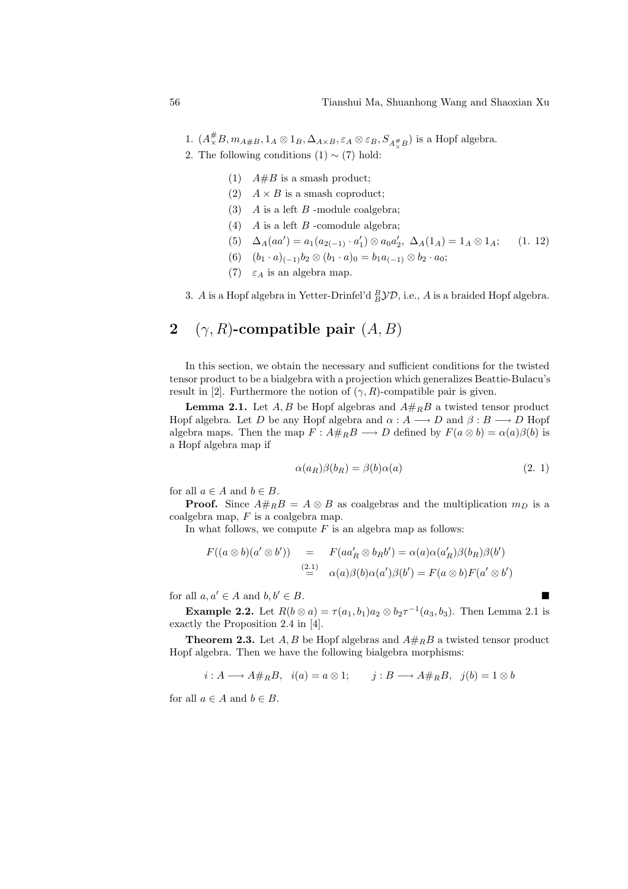- 1.  $(A^{\#}_{\times}B, m_{A \# B}, 1_A \otimes 1_B, \Delta_{A \times B}, \varepsilon_A \otimes \varepsilon_B, S_{A^{\#}_{\times}B})$  is a Hopf algebra.
- 2. The following conditions  $(1) \sim (7)$  hold:
	- (1)  $A \# B$  is a smash product;
	- (2)  $A \times B$  is a smash coproduct;
	- (3)  $A$  is a left  $B$  -module coalgebra;
	- (4)  $A$  is a left  $B$  -comodule algebra;
	- (5)  $\Delta_A(aa') = a_1(a_{2(-1)} \cdot a'_1) \otimes a_0 a'_2, \ \Delta_A(1_A) = 1_A \otimes 1_A;$  (1. 12)
	- (6)  $(b_1 \cdot a)_{(-1)}b_2 \otimes (b_1 \cdot a)_0 = b_1 a_{(-1)} \otimes b_2 \cdot a_0;$
	- (7)  $\varepsilon_A$  is an algebra map.
- 3. A is a Hopf algebra in Yetter-Drinfel'd  $_B^B$  $\mathcal{YD}$ , i.e., A is a braided Hopf algebra.

## 2 ( $\gamma$ , R)-compatible pair  $(A, B)$

In this section, we obtain the necessary and sufficient conditions for the twisted tensor product to be a bialgebra with a projection which generalizes Beattie-Bulacu's result in [2]. Furthermore the notion of  $(\gamma, R)$ -compatible pair is given.

**Lemma 2.1.** Let  $A, B$  be Hopf algebras and  $A#_R B$  a twisted tensor product Hopf algebra. Let D be any Hopf algebra and  $\alpha : A \longrightarrow D$  and  $\beta : B \longrightarrow D$  Hopf algebra maps. Then the map  $F : A#_R B \longrightarrow D$  defined by  $F(a \otimes b) = \alpha(a)\beta(b)$  is a Hopf algebra map if

$$
\alpha(a_R)\beta(b_R) = \beta(b)\alpha(a) \tag{2.1}
$$

for all  $a \in A$  and  $b \in B$ .

**Proof.** Since  $A#_RB = A \otimes B$  as coalgebras and the multiplication  $m_D$  is a coalgebra map,  $F$  is a coalgebra map.

In what follows, we compute  $F$  is an algebra map as follows:

$$
F((a \otimes b)(a' \otimes b')) = F(aa'_R \otimes b_R b') = \alpha(a)\alpha(a'_R)\beta(b_R)\beta(b')
$$
  
\n
$$
\stackrel{(2.1)}{=} \alpha(a)\beta(b)\alpha(a')\beta(b') = F(a \otimes b)F(a' \otimes b')
$$

for all  $a, a' \in A$  and  $b, b' \in B$ .

**Example 2.2.** Let  $R(b \otimes a) = \tau(a_1, b_1)a_2 \otimes b_2 \tau^{-1}(a_3, b_3)$ . Then Lemma 2.1 is exactly the Proposition 2.4 in [4].

**Theorem 2.3.** Let A, B be Hopf algebras and  $A#_R B$  a twisted tensor product Hopf algebra. Then we have the following bialgebra morphisms:

$$
i: A \longrightarrow A \#_R B, \quad i(a) = a \otimes 1; \qquad j: B \longrightarrow A \#_R B, \quad j(b) = 1 \otimes b
$$

for all  $a \in A$  and  $b \in B$ .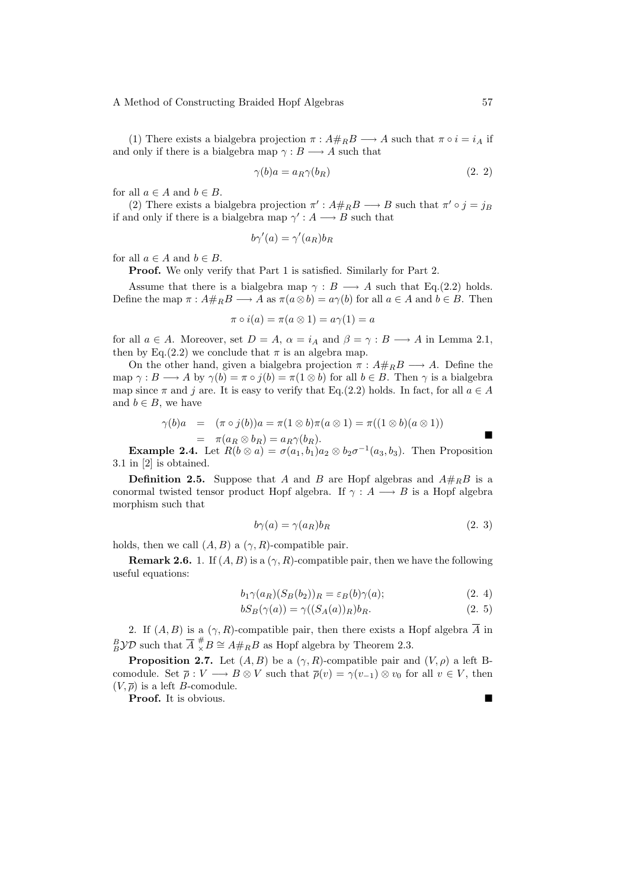(1) There exists a bialgebra projection  $\pi : A#_R B \longrightarrow A$  such that  $\pi \circ i = i_A$  if and only if there is a bialgebra map  $\gamma : B \longrightarrow A$  such that

$$
\gamma(b)a = a_R \gamma(b_R) \tag{2.2}
$$

for all  $a \in A$  and  $b \in B$ .

(2) There exists a bialgebra projection  $\pi' : A \#_R B \longrightarrow B$  such that  $\pi' \circ j = j_B$ if and only if there is a bialgebra map  $\gamma' : A \longrightarrow B$  such that

 $b\gamma'(a) = \gamma'(a_R)b_R$ 

for all  $a \in A$  and  $b \in B$ .

Proof. We only verify that Part 1 is satisfied. Similarly for Part 2.

Assume that there is a bialgebra map  $\gamma : B \longrightarrow A$  such that Eq.(2.2) holds. Define the map  $\pi : A \#_R B \longrightarrow A$  as  $\pi(a \otimes b) = a \gamma(b)$  for all  $a \in A$  and  $b \in B$ . Then

$$
\pi \circ i(a) = \pi(a \otimes 1) = a\gamma(1) = a
$$

for all  $a \in A$ . Moreover, set  $D = A$ ,  $\alpha = i_A$  and  $\beta = \gamma : B \longrightarrow A$  in Lemma 2.1, then by Eq.(2.2) we conclude that  $\pi$  is an algebra map.

On the other hand, given a bialgebra projection  $\pi : A#_B \longrightarrow A$ . Define the map  $\gamma : B \longrightarrow A$  by  $\gamma(b) = \pi \circ i(b) = \pi(1 \otimes b)$  for all  $b \in B$ . Then  $\gamma$  is a bialgebra map since  $\pi$  and j are. It is easy to verify that Eq.(2.2) holds. In fact, for all  $a \in A$ and  $b \in B$ , we have

$$
\gamma(b)a = (\pi \circ j(b))a = \pi(1 \otimes b)\pi(a \otimes 1) = \pi((1 \otimes b)(a \otimes 1))
$$

$$
\quad = \quad \pi(a_R \otimes b_R) = a_R \gamma(b_R).
$$

**Example 2.4.** Let  $R(b \otimes a) = \sigma(a_1, b_1)a_2 \otimes b_2 \sigma^{-1}(a_3, b_3)$ . Then Proposition 3.1 in [2] is obtained.

**Definition 2.5.** Suppose that A and B are Hopf algebras and  $A#_RB$  is a conormal twisted tensor product Hopf algebra. If  $\gamma : A \longrightarrow B$  is a Hopf algebra morphism such that

$$
b\gamma(a) = \gamma(a_R)b_R \tag{2.3}
$$

holds, then we call  $(A, B)$  a  $(\gamma, R)$ -compatible pair.

**Remark 2.6.** 1. If  $(A, B)$  is a  $(\gamma, R)$ -compatible pair, then we have the following useful equations:

$$
b_1 \gamma(a_R)(S_B(b_2))_R = \varepsilon_B(b)\gamma(a); \tag{2.4}
$$

$$
bS_B(\gamma(a)) = \gamma((S_A(a))_R)b_R. \tag{2.5}
$$

2. If  $(A, B)$  is a  $(\gamma, R)$ -compatible pair, then there exists a Hopf algebra  $\overline{A}$  in  ${}^B_B$  y D such that  $\overline{A} \, {}^{\#}_\times B \cong A \#_R B$  as Hopf algebra by Theorem 2.3.

**Proposition 2.7.** Let  $(A, B)$  be a  $(\gamma, R)$ -compatible pair and  $(V, \rho)$  a left Bcomodule. Set  $\overline{\rho}: V \longrightarrow B \otimes V$  such that  $\overline{\rho}(v) = \gamma(v_{-1}) \otimes v_0$  for all  $v \in V$ , then  $(V, \overline{\rho})$  is a left *B*-comodule.

**Proof.** It is obvious.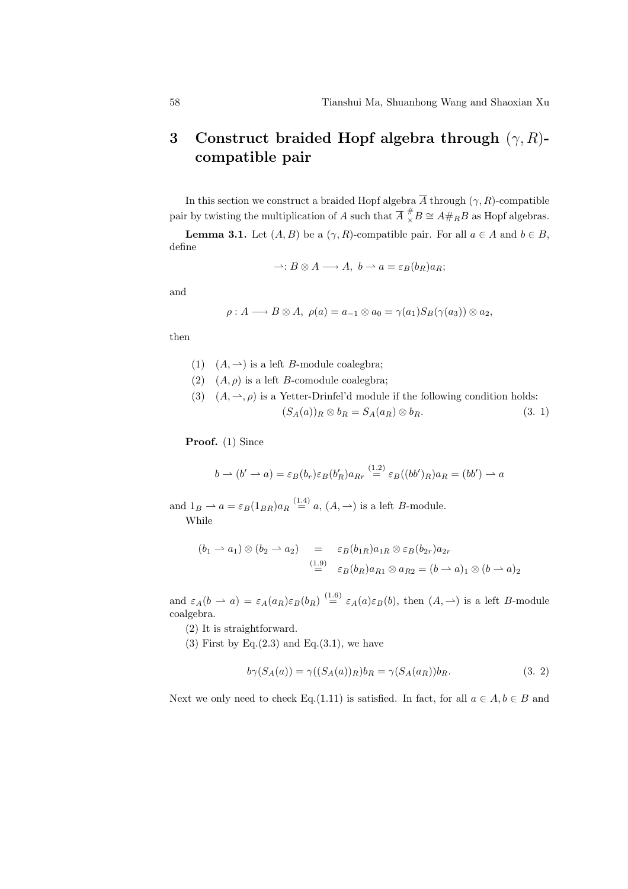# 3 Construct braided Hopf algebra through  $(\gamma, R)$ compatible pair

In this section we construct a braided Hopf algebra  $\overline{A}$  through  $(\gamma, R)$ -compatible pair by twisting the multiplication of A such that  $\overline{A} \stackrel{\#}{\times} B \cong A \#_R B$  as Hopf algebras.

**Lemma 3.1.** Let  $(A, B)$  be a  $(\gamma, R)$ -compatible pair. For all  $a \in A$  and  $b \in B$ , define

$$
\rightharpoonup: B \otimes A \longrightarrow A, \ b \rightharpoonup a = \varepsilon_B(b_R)a_R;
$$

and

$$
\rho: A \longrightarrow B \otimes A, \ \rho(a) = a_{-1} \otimes a_0 = \gamma(a_1) S_B(\gamma(a_3)) \otimes a_2,
$$

then

(1)  $(A, \rightarrow)$  is a left B-module coalegbra;

- (2)  $(A, \rho)$  is a left *B*-comodule coalegbra;
- (3)  $(A, \rightarrow, \rho)$  is a Yetter-Drinfel'd module if the following condition holds:  $(S_A(a))_R \otimes b_R = S_A(a_R) \otimes b_R.$  (3. 1)

Proof. (1) Since

$$
b \rightharpoonup (b' \rightharpoonup a) = \varepsilon_B(b_r)\varepsilon_B(b'_R)a_{Rr} \stackrel{(1.2)}{=} \varepsilon_B((bb')_R)a_R = (bb') \rightharpoonup a
$$

and  $1_B \rightharpoonup a = \varepsilon_B (1_{BR}) a_R \stackrel{(1.4)}{=} a, (A, \rightharpoonup)$  is a left B-module. While

$$
(b_1 \rightarrow a_1) \otimes (b_2 \rightarrow a_2) = \varepsilon_B(b_{1R})a_{1R} \otimes \varepsilon_B(b_{2r})a_{2r}
$$
  

$$
\stackrel{(1.9)}{=} \varepsilon_B(b_R)a_{R1} \otimes a_{R2} = (b \rightarrow a)_1 \otimes (b \rightarrow a)_2
$$

and  $\varepsilon_A(b \rightharpoonup a) = \varepsilon_A(a_R)\varepsilon_B(b_R) \stackrel{(1.6)}{=} \varepsilon_A(a)\varepsilon_B(b)$ , then  $(A, \rightharpoonup)$  is a left *B*-module coalgebra.

(2) It is straightforward.

(3) First by Eq. $(2.3)$  and Eq. $(3.1)$ , we have

$$
b\gamma(S_A(a)) = \gamma((S_A(a))_R) b_R = \gamma(S_A(a_R)) b_R. \tag{3.2}
$$

Next we only need to check Eq.(1.11) is satisfied. In fact, for all  $a \in A, b \in B$  and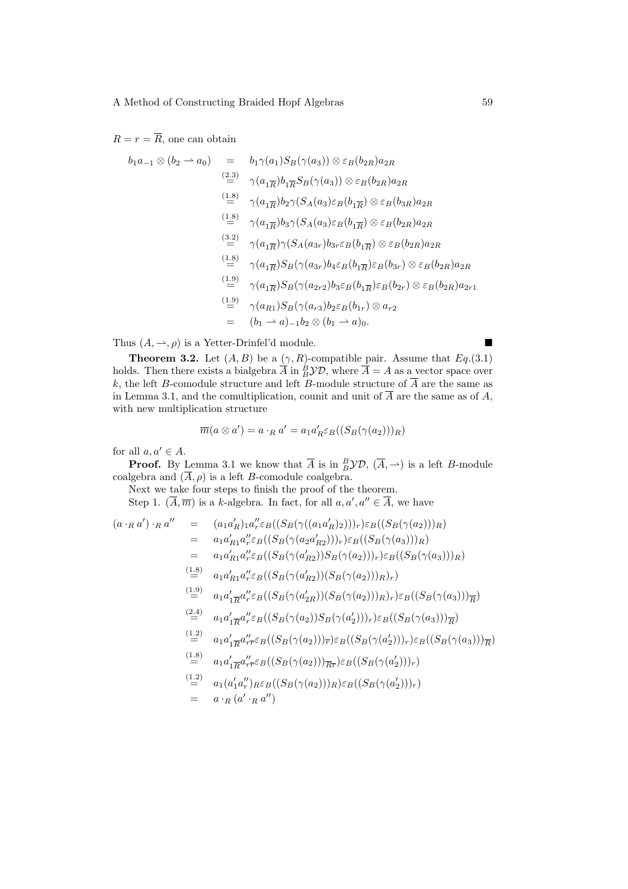### $R = r = \overline{R}$ , one can obtain

$$
b_1a_{-1}\otimes(b_2 \rightharpoonup a_0) = b_1\gamma(a_1)S_B(\gamma(a_3))\otimes \varepsilon_B(b_{2R})a_{2R}
$$
  
\n
$$
\stackrel{(2.3)}{=} \gamma(a_{1\overline{R}})b_1\overline{\gamma}S_B(\gamma(a_3))\otimes \varepsilon_B(b_{2R})a_{2R}
$$
  
\n
$$
\stackrel{(1.8)}{=} \gamma(a_{1\overline{R}})b_2\gamma(S_A(a_3)\varepsilon_B(b_{1\overline{R}})\otimes \varepsilon_B(b_{3R})a_{2R}
$$
  
\n
$$
\stackrel{(1.8)}{=} \gamma(a_{1\overline{R}})b_3\gamma(S_A(a_3)\varepsilon_B(b_{1\overline{R}})\otimes \varepsilon_B(b_{2R})a_{2R}
$$
  
\n
$$
\stackrel{(3.2)}{=} \gamma(a_{1\overline{R}})\gamma(S_A(a_{3r})b_{3r}\varepsilon_B(b_{1\overline{R}})\otimes \varepsilon_B(b_{2R})a_{2R}
$$
  
\n
$$
\stackrel{(1.8)}{=} \gamma(a_{1\overline{R}})S_B(\gamma(a_{3r})b_4\varepsilon_B(b_{1\overline{R}})\varepsilon_B(b_{3r})\otimes \varepsilon_B(b_{2R})a_{2R}
$$
  
\n
$$
\stackrel{(1.9)}{=} \gamma(a_{1\overline{R}})S_B(\gamma(a_{2r2})b_3\varepsilon_B(b_{1\overline{R}})\varepsilon_B(b_{2r})\otimes \varepsilon_B(b_{2R})a_{2r1}
$$
  
\n
$$
\stackrel{(1.9)}{=} \gamma(a_{R1})S_B(\gamma(a_{r3})b_2\varepsilon_B(b_{1r})\otimes a_{r2}
$$
  
\n
$$
= (b_1 \rightharpoonup a_{1-1}b_2\otimes (b_1 \rightharpoonup a_0).
$$

Thus  $(A, \rightarrow, \rho)$  is a Yetter-Drinfel'd module.

**Theorem 3.2.** Let  $(A, B)$  be a  $(\gamma, R)$ -compatible pair. Assume that  $Eq.(3.1)$ holds. Then there exists a bialgebra  $\overline{A}$  in  ${}^B_B$  $\mathcal{YD}$ , where  $\overline{A} = A$  as a vector space over k, the left B-comodule structure and left B-module structure of  $\overline{A}$  are the same as in Lemma 3.1, and the comultiplication, counit and unit of  $\overline{A}$  are the same as of A, with new multiplication structure

$$
\overline{m}(a\otimes a') = a\cdot_R a' = a_1 a'_R \varepsilon_B((S_B(\gamma(a_2)))_R)
$$

for all  $a, a' \in A$ .

**Proof.** By Lemma 3.1 we know that  $\overline{A}$  is in  ${}_B^B \mathcal{YD}$ ,  $(\overline{A}, \rightharpoonup)$  is a left *B*-module coalgebra and  $(\overline{A}, \rho)$  is a left B-comodule coalgebra.

Next we take four steps to finish the proof of the theorem.

Step 1.  $(\overline{A}, \overline{m})$  is a k-algebra. In fact, for all  $a, a', a'' \in \overline{A}$ , we have

$$
(a \cdot_R a') \cdot_R a'' = (a_1 a'_R)_{1} a''_r \epsilon_B ((S_B(\gamma((a_1 a'_R)_2)))_r) \epsilon_B ((S_B(\gamma(a_2)))_R)
$$
  
\n
$$
= a_1 a'_R a''_r \epsilon_B ((S_B(\gamma(a_2 a'_R_2)))_r) \epsilon_B ((S_B(\gamma(a_3)))_R)
$$
  
\n
$$
= a_1 a'_R a''_r \epsilon_B ((S_B(\gamma(a'_R_2))) S_B(\gamma(a_2)))_r) \epsilon_B ((S_B(\gamma(a_3)))_R)
$$
  
\n
$$
\stackrel{(1.8)}{=} a_1 a'_R a''_r \epsilon_B ((S_B(\gamma(a'_R_2))(S_B(\gamma(a_2)))_R)_r)
$$
  
\n
$$
\stackrel{(1.9)}{=} a_1 a'_R a''_r \epsilon_B ((S_B(\gamma(a'_2))) (S_B(\gamma(a_2)))_R)_r) \epsilon_B ((S_B(\gamma(a_3)))_{\overline{R}})
$$
  
\n
$$
\stackrel{(2.4)}{=} a_1 a'_R a''_r \epsilon_B ((S_B(\gamma(a_2)))_r) \epsilon_B ((S_B(\gamma(a_3)))_{\overline{R}})
$$
  
\n
$$
\stackrel{(1.2)}{=} a_1 a'_R a''_r \epsilon_B ((S_B(\gamma(a_2)))_r) \epsilon_B ((S_B(\gamma(a'_2)))_r) \epsilon_B ((S_B(\gamma(a_3)))_{\overline{R}})
$$
  
\n
$$
\stackrel{(1.8)}{=} a_1 a'_R a''_r \epsilon_B ((S_B(\gamma(a_2)))_{\overline{R}} \epsilon_B ((S_B(\gamma(a'_2)))_r)
$$
  
\n
$$
\stackrel{(1.8)}{=} a_1 (a'_1 a''_r)_{R} \epsilon_B ((S_B(\gamma(a_2)))_R) \epsilon_B ((S_B(\gamma(a'_2)))_r)
$$
  
\n
$$
= a \cdot_R (a' \cdot_R a'')
$$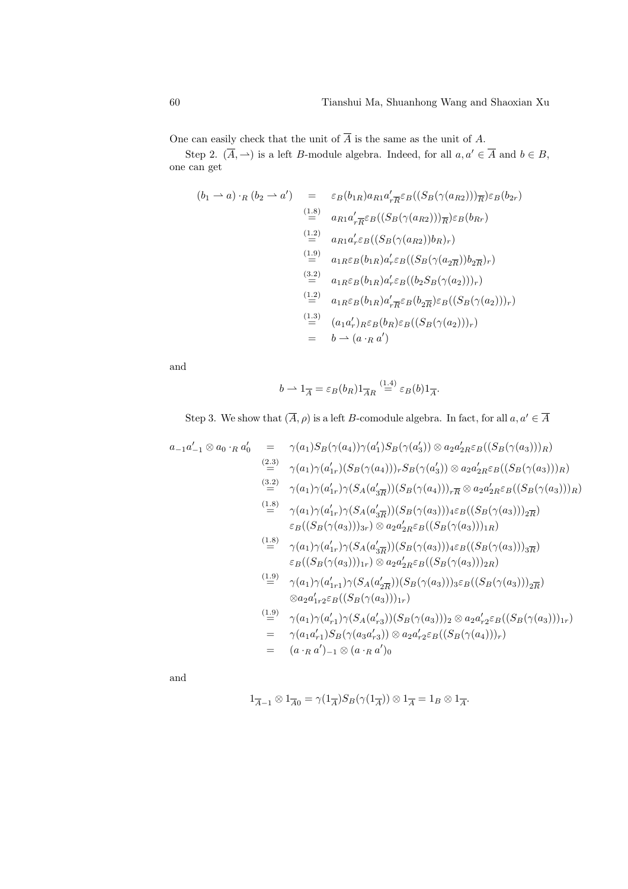One can easily check that the unit of  $\overline{A}$  is the same as the unit of A.

Step 2.  $(\overline{A}, \rightarrow)$  is a left B-module algebra. Indeed, for all  $a, a' \in \overline{A}$  and  $b \in B$ , one can get

$$
(b_1 \rightarrow a) \cdot_R (b_2 \rightarrow a') = \varepsilon_B(b_{1R}) a_{R1} a'_{r\overline{R}} \varepsilon_B((S_B(\gamma(a_{R2})))_{\overline{R}}) \varepsilon_B(b_{2r})
$$
  
\n
$$
\stackrel{(1.8)}{=} a_{R1} a'_{r\overline{R}} \varepsilon_B((S_B(\gamma(a_{R2})))_{\overline{R}}) \varepsilon_B(b_{Rr})
$$
  
\n
$$
\stackrel{(1.2)}{=} a_{R1} a'_{r} \varepsilon_B((S_B(\gamma(a_{R2}))b_{R})_{r})
$$
  
\n
$$
\stackrel{(1.9)}{=} a_{1R} \varepsilon_B(b_{1R}) a'_{r} \varepsilon_B((S_B(\gamma(a_{2\overline{R}}))b_{2\overline{R}})_{r})
$$
  
\n
$$
\stackrel{(3.2)}{=} a_{1R} \varepsilon_B(b_{1R}) a'_{r} \varepsilon_B((b_2 S_B(\gamma(a_{2})))_{r})
$$
  
\n
$$
\stackrel{(1.2)}{=} a_{1R} \varepsilon_B(b_{1R}) a'_{r\overline{R}} \varepsilon_B(b_{2\overline{R}}) \varepsilon_B((S_B(\gamma(a_{2})))_{r})
$$
  
\n
$$
\stackrel{(1.3)}{=} (a_1 a'_{r})_{R} \varepsilon_B(b_{R}) \varepsilon_B((S_B(\gamma(a_{2})))_{r})
$$
  
\n
$$
= b \rightarrow (a \cdot_R a')
$$

and

$$
b \rightharpoonup 1_{\overline{A}} = \varepsilon_B(b_R) 1_{\overline{A}R} \stackrel{(1.4)}{=} \varepsilon_B(b) 1_{\overline{A}}.
$$

Step 3. We show that  $(\overline{A}, \rho)$  is a left B-comodule algebra. In fact, for all  $a, a' \in \overline{A}$ 

$$
a_{-1}a'_{-1} \otimes a_{0} \cdot_{R} a'_{0} = \gamma(a_{1})S_{B}(\gamma(a_{4}))\gamma(a'_{1})S_{B}(\gamma(a'_{3})) \otimes a_{2}a'_{2R}\varepsilon_{B}((S_{B}(\gamma(a_{3})))_{R})
$$
\n
$$
\stackrel{(2.3)}{=} \gamma(a_{1})\gamma(a'_{1r})(S_{B}(\gamma(a_{4})))_{r}S_{B}(\gamma(a'_{3})) \otimes a_{2}a'_{2R}\varepsilon_{B}((S_{B}(\gamma(a_{3})))_{R})
$$
\n
$$
\stackrel{(3.2)}{=} \gamma(a_{1})\gamma(a'_{1r})\gamma(S_{A}(a'_{3\overline{R}}))(S_{B}(\gamma(a_{4})))_{r\overline{R}} \otimes a_{2}a'_{2R}\varepsilon_{B}((S_{B}(\gamma(a_{3})))_{R})
$$
\n
$$
\stackrel{(1.8)}{=} \gamma(a_{1})\gamma(a'_{1r})\gamma(S_{A}(a'_{3\overline{R}}))(S_{B}(\gamma(a_{3})))_{4}\varepsilon_{B}((S_{B}(\gamma(a_{3})))_{2\overline{R}})
$$
\n
$$
\varepsilon_{B}((S_{B}(\gamma(a_{3})))_{3r}) \otimes a_{2}a'_{2R}\varepsilon_{B}((S_{B}(\gamma(a_{3})))_{1R})
$$
\n
$$
\stackrel{(1.8)}{=} \gamma(a_{1})\gamma(a'_{1r})\gamma(S_{A}(a'_{3\overline{R}}))(S_{B}(\gamma(a_{3})))_{4}\varepsilon_{B}((S_{B}(\gamma(a_{3})))_{3\overline{R}})
$$
\n
$$
\varepsilon_{B}((S_{B}(\gamma(a_{3})))_{1r}) \otimes a_{2}a'_{2R}\varepsilon_{B}((S_{B}(\gamma(a_{3})))_{2R})
$$
\n
$$
\stackrel{(1.9)}{=} \gamma(a_{1})\gamma(a'_{1r1})\gamma(S_{A}(a'_{2\overline{R}}))(S_{B}(\gamma(a_{3})))_{3}\varepsilon_{B}((S_{B}(\gamma(a_{3})))_{2\overline{R}})
$$
\n
$$
\otimes a_{2}a'_{1r2}\varepsilon_{B}((S_{B}(\gamma(a_{3})))_{1r})
$$
\n
$$
\stackrel{(1.9)}
$$

and

 $1_{\overline{A}-1} \otimes 1_{\overline{A}0} = \gamma(1_{\overline{A}})S_B(\gamma(1_{\overline{A}})) \otimes 1_{\overline{A}} = 1_B \otimes 1_{\overline{A}}.$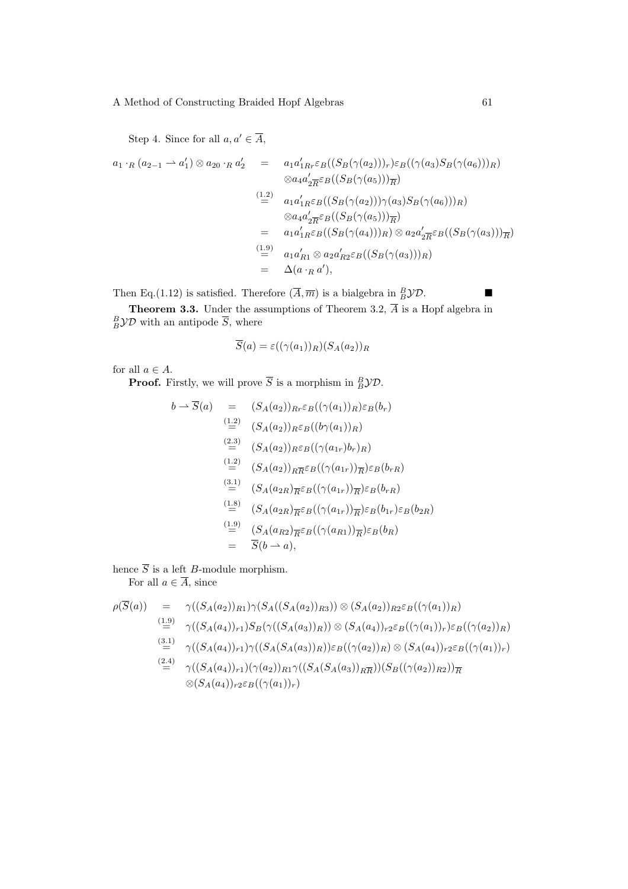Step 4. Since for all  $a, a' \in \overline{A}$ ,

$$
a_1 \cdot_R (a_{2-1} \to a'_1) \otimes a_{20} \cdot_R a'_2 = a_1 a'_{1Rr} \varepsilon_B((S_B(\gamma(a_2)))_r) \varepsilon_B((\gamma(a_3)S_B(\gamma(a_6)))_R)
$$
  

$$
\otimes a_4 a'_{2R} \varepsilon_B((S_B(\gamma(a_5)))_R)
$$
  

$$
\stackrel{(1.2)}{=} a_1 a'_{1R} \varepsilon_B((S_B(\gamma(a_2))) \gamma(a_3) S_B(\gamma(a_6)))_R)
$$
  

$$
\otimes a_4 a'_{2R} \varepsilon_B((S_B(\gamma(a_5)))_R)
$$
  

$$
= a_1 a'_{1R} \varepsilon_B((S_B(\gamma(a_4)))_R) \otimes a_2 a'_{2R} \varepsilon_B((S_B(\gamma(a_3)))_R)
$$
  

$$
\stackrel{(1.9)}{=} a_1 a'_{R1} \otimes a_2 a'_{R2} \varepsilon_B((S_B(\gamma(a_3)))_R)
$$
  

$$
= \Delta(a \cdot_R a'),
$$

Then Eq.(1.12) is satisfied. Therefore  $(\overline{A}, \overline{m})$  is a bialgebra in  ${}^B_B$  $\mathcal{YD}$ .

**Theorem 3.3.** Under the assumptions of Theorem 3.2,  $\overline{A}$  is a Hopf algebra in  $B\overline{B}$  $\mathcal{YD}$  with an antipode  $\overline{S}$ , where

$$
\overline{S}(a) = \varepsilon((\gamma(a_1))_R)(S_A(a_2))_R
$$

for all  $a \in A$ .

**Proof.** Firstly, we will prove  $\overline{S}$  is a morphism in  ${}_B^B$  $\mathcal{YD}$ .

$$
b \rightarrow \overline{S}(a) = (S_A(a_2))_{Rr} \varepsilon_B((\gamma(a_1))_R) \varepsilon_B(b_r)
$$
  
\n
$$
\stackrel{(1.2)}{=} (S_A(a_2))_{R} \varepsilon_B((b\gamma(a_1))_R)
$$
  
\n
$$
\stackrel{(2.3)}{=} (S_A(a_2))_{R} \varepsilon_B((\gamma(a_{1r})b_r)_R)
$$
  
\n
$$
\stackrel{(1.2)}{=} (S_A(a_2))_{R\overline{R}} \varepsilon_B((\gamma(a_{1r}))_{\overline{R}}) \varepsilon_B(b_r)_R
$$
  
\n
$$
\stackrel{(3.1)}{=} (S_A(a_{2R})_{\overline{R}} \varepsilon_B((\gamma(a_{1r}))_{\overline{R}}) \varepsilon_B(b_r)_R
$$
  
\n
$$
\stackrel{(1.8)}{=} (S_A(a_{2R})_{\overline{R}} \varepsilon_B((\gamma(a_{1r}))_{\overline{R}}) \varepsilon_B(b_{1r}) \varepsilon_B(b_{2R})
$$
  
\n
$$
\stackrel{(1.9)}{=} (S_A(a_{R2})_{\overline{R}} \varepsilon_B((\gamma(a_{R1}))_{\overline{R}}) \varepsilon_B(b_R)
$$
  
\n
$$
= \overline{S}(b \rightarrow a),
$$

hence  $\overline{S}$  is a left *B*-module morphism. For all  $a \in \overline{A}$ , since

$$
\rho(\overline{S}(a)) = \gamma((S_A(a_2))_{R1})\gamma(S_A((S_A(a_2))_{R3})) \otimes (S_A(a_2))_{R2} \varepsilon_B((\gamma(a_1))_R)
$$
  
\n
$$
\stackrel{(1.9)}{=} \gamma((S_A(a_4))_{r1})S_B(\gamma((S_A(a_3))_R)) \otimes (S_A(a_4))_{r2} \varepsilon_B((\gamma(a_1))_r) \varepsilon_B((\gamma(a_2))_R)
$$
  
\n
$$
\stackrel{(3.1)}{=} \gamma((S_A(a_4))_{r1})\gamma((S_A(S_A(a_3))_R)) \varepsilon_B((\gamma(a_2))_R) \otimes (S_A(a_4))_{r2} \varepsilon_B((\gamma(a_1))_r)
$$
  
\n
$$
\stackrel{(2.4)}{=} \gamma((S_A(a_4))_{r1})(\gamma(a_2))_{R1}\gamma((S_A(S_A(a_3))_{R\overline{R}}))(S_B((\gamma(a_2))_{R2}))_{\overline{R}}
$$
  
\n
$$
\otimes (S_A(a_4))_{r2} \varepsilon_B((\gamma(a_1))_r)
$$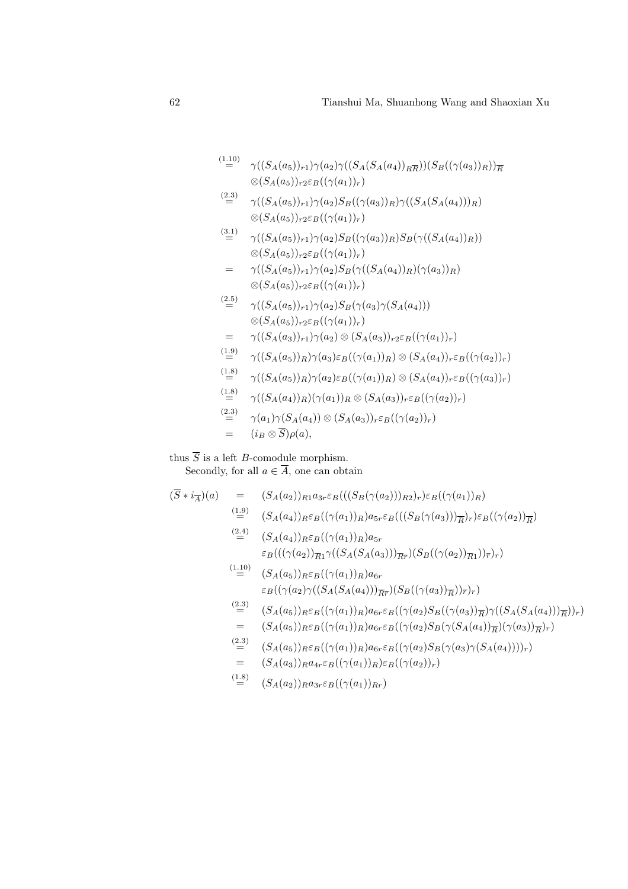$\stackrel{(1.10)}{=}$  $=$   $\gamma((S_A(a_5))_{r1})\gamma(a_2)\gamma((S_A(S_A(a_4))_{R\overline{R}}))(S_B((\gamma(a_3))_{R}))_{\overline{R}}$  $\otimes (S_A(a_5))_{r2} \varepsilon_B((\gamma(a_1))_r)$ 

$$
\stackrel{(2.3)}{=} \gamma((S_A(a_5))_{r1})\gamma(a_2)S_B((\gamma(a_3))_R)\gamma((S_A(S_A(a_4)))_R) \otimes (S_A(a_5))_{r2}\varepsilon_B((\gamma(a_1))_r)
$$

 $\stackrel{(3.1)}{=}$  $\gamma((S_A(a_5))_{r1})\gamma(a_2)S_B((\gamma(a_3))_R)S_B(\gamma((S_A(a_4))_R))$  $\otimes (S_A(a_5))_{r2} \varepsilon_B((\gamma(a_1))_r)$ =  $\gamma((S_A(a_5))_{r_1})\gamma(a_2)S_B(\gamma((S_A(a_4))_B)(\gamma(a_3))_B)$ 

$$
= \gamma((S_A(a_5))_{r1})\gamma(a_2)S_B(\gamma((S_A(a_4))_R)(\gamma(a_3))_R)
$$
  
 
$$
\otimes (S_A(a_5))_{r2}\varepsilon_B((\gamma(a_1))_r)
$$

 $(2.5)$  $\gamma((S_A(a_5))_{r1})\gamma(a_2)S_B(\gamma(a_3)\gamma(S_A(a_4)))$  $\otimes (S_A(a_5))_{r2} \varepsilon_B((\gamma(a_1))_r)$ =  $\gamma((S_A(a_3))_{r1})\gamma(a_2) \otimes (S_A(a_3))_{r2} \varepsilon_B((\gamma(a_1))_r)$  $\stackrel{(1.9)}{=}$  $\gamma((S_A(a_5))_R)\gamma(a_3)\varepsilon_B((\gamma(a_1))_R)\otimes (S_A(a_4))_r\varepsilon_B((\gamma(a_2))_r)$  $(\frac{1.8}{2})$  $\gamma((S_A(a_5))_R)\gamma(a_2)\varepsilon_B((\gamma(a_1))_R)\otimes (S_A(a_4))_r\varepsilon_B((\gamma(a_3))_r)$  $(1.8)$  $\gamma((S_A(a_4))_R)(\gamma(a_1))_R \otimes (S_A(a_3))_r \varepsilon_B((\gamma(a_2))_r)$  $\stackrel{(2.3)}{=}$  $\gamma(a_1)\gamma(S_A(a_4))\otimes (S_A(a_3))_r \varepsilon_B((\gamma(a_2))_r)$  $=$   $(i_B \otimes \overline{S})\rho(a),$ 

thus  $\overline{S}$  is a left *B*-comodule morphism. Secondly, for all  $a \in \overline{A}$ , one can obtain

$$
(\overline{S} * i_{\overline{A}})(a) = (S_{A}(a_{2}))_{R1} a_{3r} \varepsilon_{B}(((S_{B}(\gamma(a_{2})))_{R2})_{r}) \varepsilon_{B}((\gamma(a_{1}))_{R})
$$
\n
$$
= (S_{A}(a_{4}))_{R} \varepsilon_{B}((\gamma(a_{1}))_{R}) a_{5r} \varepsilon_{B}(((S_{B}(\gamma(a_{3})))_{\overline{R}})_{r}) \varepsilon_{B}((\gamma(a_{2}))_{\overline{R}})
$$
\n
$$
= (S_{A}(a_{4}))_{R} \varepsilon_{B}((\gamma(a_{1}))_{R}) a_{5r}
$$
\n
$$
\varepsilon_{B}(((\gamma(a_{2}))_{\overline{R}} \gamma((S_{A}(S_{A}(a_{3})))_{\overline{R}}) (S_{B}((\gamma(a_{2}))_{\overline{R}})_{r})_{r})
$$
\n
$$
= (S_{A}(a_{5}))_{R} \varepsilon_{B}((\gamma(a_{1}))_{R}) a_{6r}
$$
\n
$$
\varepsilon_{B}((\gamma(a_{2})\gamma((S_{A}(S_{A}(a_{4})))_{\overline{R}}) (S_{B}((\gamma(a_{3}))_{\overline{R}})_{r})_{r})
$$
\n
$$
= (S_{A}(a_{5}))_{R} \varepsilon_{B}((\gamma(a_{1}))_{R}) a_{6r} \varepsilon_{B}((\gamma(a_{2})S_{B}((\gamma(a_{3}))_{\overline{R}}) \gamma((S_{A}(S_{A}(a_{4})))_{\overline{R}})_{r})
$$
\n
$$
= (S_{A}(a_{5}))_{R} \varepsilon_{B}((\gamma(a_{1}))_{R}) a_{6r} \varepsilon_{B}((\gamma(a_{2})S_{B}(\gamma(S_{A}(a_{4})))_{\overline{R}})_{r})
$$
\n
$$
= (S_{A}(a_{5}))_{R} \varepsilon_{B}((\gamma(a_{1}))_{R}) a_{6r} \varepsilon_{B}((\gamma(a_{2})S_{B}(\gamma(a_{3})\gamma(S_{A}(a_{4}))))_{r})
$$
\n
$$
= (S_{A}(a_{3}))_{R} a_{4r} \varepsilon_{B}((\gamma(a_{1}))_{R}) \varepsilon_{B}((\gamma(a_{2}))_{r})
$$
\n $$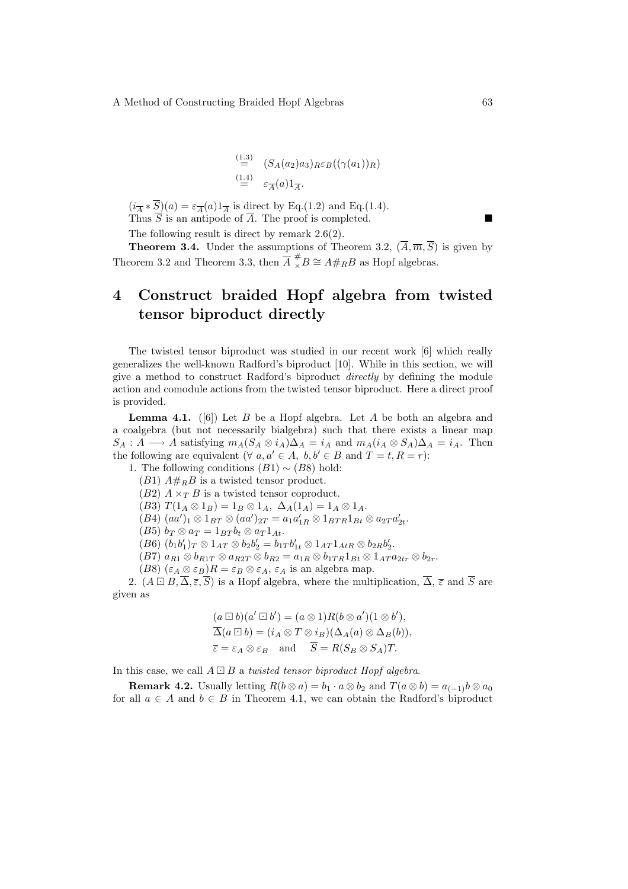$$
\stackrel{(1.3)}{=} (S_A(a_2)a_3)_R \varepsilon_B((\gamma(a_1))_R)
$$
  
\n
$$
\stackrel{(1.4)}{=} \varepsilon_{\overline{A}}(a)1_{\overline{A}}.
$$

 $(i_{\overline{A}} * \overline{S})(a) = \varepsilon_{\overline{A}}(a)1_{\overline{A}}$  is direct by Eq.(1.2) and Eq.(1.4). Thus  $\overline{S}$  is an antipode of  $\overline{A}$ . The proof is completed.

The following result is direct by remark 2.6(2).

**Theorem 3.4.** Under the assumptions of Theorem 3.2,  $(\overline{A}, \overline{m}, \overline{S})$  is given by Theorem 3.2 and Theorem 3.3, then  $\overline{A} \overset{\#}{_{\times}} B \cong A \#_R B$  as Hopf algebras.

## 4 Construct braided Hopf algebra from twisted tensor biproduct directly

The twisted tensor biproduct was studied in our recent work [6] which really generalizes the well-known Radford's biproduct [10]. While in this section, we will give a method to construct Radford's biproduct directly by defining the module action and comodule actions from the twisted tensor biproduct. Here a direct proof is provided.

**Lemma 4.1.** ([6]) Let B be a Hopf algebra. Let A be both an algebra and a coalgebra (but not necessarily bialgebra) such that there exists a linear map  $S_A: A \longrightarrow A$  satisfying  $m_A(S_A \otimes i_A)\Delta_A = i_A$  and  $m_A(i_A \otimes S_A)\Delta_A = i_A$ . Then the following are equivalent ( $\forall a, a' \in A, b, b' \in B$  and  $T = t, R = r$ ):

1. The following conditions  $(B1) \sim (B8)$  hold:

 $(B1)$   $A#_B B$  is a twisted tensor product.

 $(B2)$   $A \times_T B$  is a twisted tensor coproduct.

(B3)  $T(1_A \otimes 1_B) = 1_B \otimes 1_A$ ,  $\Delta_A(1_A) = 1_A \otimes 1_A$ .

 $(B4)$   $(aa')_1 \otimes 1_{BT} \otimes (aa')_{2T} = a_1 a'_{1R} \otimes 1_{BTR} 1_{Bt} \otimes a_{2T} a'_{2t}$ .

(B5)  $b_T \otimes a_T = 1_{BT} b_t \otimes a_T 1_{At}.$ 

 $(B6) (b_1b'_1)_T \otimes 1_{AT} \otimes b_2b'_2 = b_{1T}b'_{1t} \otimes 1_{AT}1_{AtR} \otimes b_{2R}b'_2.$ 

 $(B7)$   $a_{R1} \otimes b_{R1T} \otimes a_{R2T} \otimes b_{R2} = a_{1R} \otimes b_{1TR} 1_{Bt} \otimes 1_{AT} a_{2tr} \otimes b_{2r}.$ 

(B8)  $(\varepsilon_A \otimes \varepsilon_B)R = \varepsilon_B \otimes \varepsilon_A$ ,  $\varepsilon_A$  is an algebra map.

2.  $(A \square B, \overline{\Delta}, \overline{\varepsilon}, \overline{S})$  is a Hopf algebra, where the multiplication,  $\overline{\Delta}, \overline{\varepsilon}$  and  $\overline{S}$  are given as

$$
(a \boxdot b)(a' \boxdot b') = (a \otimes 1)R(b \otimes a')(1 \otimes b'),
$$
  
\n
$$
\overline{\Delta}(a \boxdot b) = (i_A \otimes T \otimes i_B)(\Delta_A(a) \otimes \Delta_B(b)),
$$
  
\n
$$
\overline{\varepsilon} = \varepsilon_A \otimes \varepsilon_B \quad \text{and} \quad \overline{S} = R(S_B \otimes S_A)T.
$$

In this case, we call  $A \square B$  a twisted tensor biproduct Hopf algebra.

**Remark 4.2.** Usually letting  $R(b \otimes a) = b_1 \cdot a \otimes b_2$  and  $T(a \otimes b) = a_{(-1)}b \otimes a_0$ for all  $a \in A$  and  $b \in B$  in Theorem 4.1, we can obtain the Radford's biproduct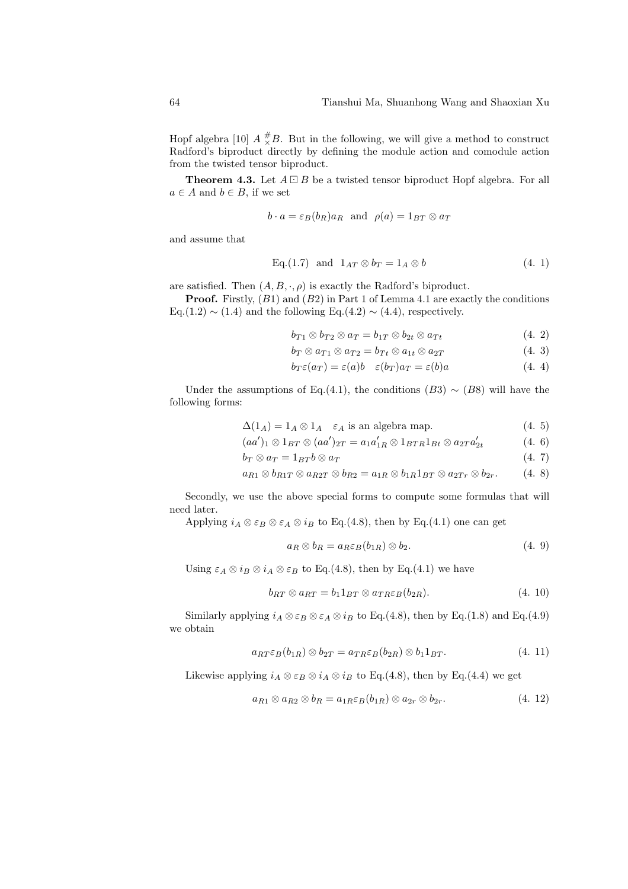Hopf algebra [10]  $A \frac{H}{\times} B$ . But in the following, we will give a method to construct Radford's biproduct directly by defining the module action and comodule action from the twisted tensor biproduct.

**Theorem 4.3.** Let  $A \square B$  be a twisted tensor biproduct Hopf algebra. For all  $a \in A$  and  $b \in B$ , if we set

$$
b \cdot a = \varepsilon_B(b_R)a_R
$$
 and  $\rho(a) = 1_{BT} \otimes a_T$ 

and assume that

Eq.(1.7) and 
$$
1_{AT} \otimes b_T = 1_A \otimes b \tag{4.1}
$$

are satisfied. Then  $(A, B, \cdot, \rho)$  is exactly the Radford's biproduct.

**Proof.** Firstly,  $(B1)$  and  $(B2)$  in Part 1 of Lemma 4.1 are exactly the conditions Eq.(1.2)  $\sim$  (1.4) and the following Eq.(4.2)  $\sim$  (4.4), respectively.

$$
b_{T1} \otimes b_{T2} \otimes a_T = b_{1T} \otimes b_{2t} \otimes a_{Tt} \tag{4.2}
$$

$$
b_T \otimes a_{T1} \otimes a_{T2} = b_{Tt} \otimes a_{1t} \otimes a_{2T} \tag{4.3}
$$

$$
b_T \varepsilon(a_T) = \varepsilon(a)b \quad \varepsilon(b_T)a_T = \varepsilon(b)a \tag{4.4}
$$

Under the assumptions of Eq.(4.1), the conditions (B3)  $\sim$  (B8) will have the following forms:

$$
\Delta(1_A) = 1_A \otimes 1_A \quad \varepsilon_A \text{ is an algebra map.} \tag{4.5}
$$

 $(aa')_1 \otimes 1_{BT} \otimes (aa')_{2T} = a_1 a'_{1R} \otimes 1_{BTR} 1_{Bt} \otimes a_{2T} a'_{2t}$ (4. 6)

$$
b_T \otimes a_T = 1_{BT} b \otimes a_T \tag{4.7}
$$

$$
a_{R1} \otimes b_{R1T} \otimes a_{R2T} \otimes b_{R2} = a_{1R} \otimes b_{1R} 1_{BT} \otimes a_{2Tr} \otimes b_{2r}.
$$
 (4. 8)

Secondly, we use the above special forms to compute some formulas that will need later.

Applying  $i_A \otimes \varepsilon_B \otimes \varepsilon_A \otimes i_B$  to Eq.(4.8), then by Eq.(4.1) one can get

$$
a_R \otimes b_R = a_R \varepsilon_B(b_{1R}) \otimes b_2. \tag{4.9}
$$

Using  $\varepsilon_A \otimes i_B \otimes i_A \otimes \varepsilon_B$  to Eq.(4.8), then by Eq.(4.1) we have

$$
b_{RT} \otimes a_{RT} = b_1 1_{BT} \otimes a_{TR} \varepsilon_B(b_{2R}). \tag{4.10}
$$

Similarly applying  $i_A \otimes \varepsilon_B \otimes \varepsilon_A \otimes i_B$  to Eq.(4.8), then by Eq.(1.8) and Eq.(4.9) we obtain

$$
a_{RT} \varepsilon_B(b_{1R}) \otimes b_{2T} = a_{TR} \varepsilon_B(b_{2R}) \otimes b_1 1_{BT}.\tag{4.11}
$$

Likewise applying  $i_A \otimes \varepsilon_B \otimes i_A \otimes i_B$  to Eq.(4.8), then by Eq.(4.4) we get

$$
a_{R1} \otimes a_{R2} \otimes b_R = a_{1R} \varepsilon_B(b_{1R}) \otimes a_{2r} \otimes b_{2r}.
$$
\n
$$
(4. 12)
$$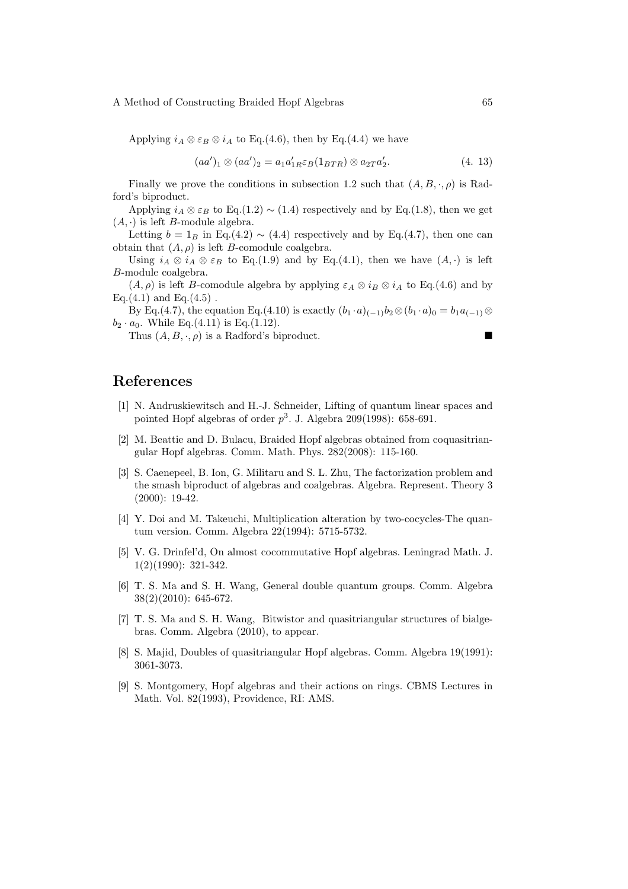Applying  $i_A \otimes \varepsilon_B \otimes i_A$  to Eq.(4.6), then by Eq.(4.4) we have

$$
(aa')_1 \otimes (aa')_2 = a_1 a'_{1R} \varepsilon_B (1_{BTR}) \otimes a_{2T} a'_{2}. \tag{4.13}
$$

Finally we prove the conditions in subsection 1.2 such that  $(A, B, \cdot, \rho)$  is Radford's biproduct.

Applying  $i_A \otimes \varepsilon_B$  to Eq.(1.2) ~ (1.4) respectively and by Eq.(1.8), then we get  $(A, \cdot)$  is left *B*-module algebra.

Letting  $b = 1_B$  in Eq.(4.2) ~ (4.4) respectively and by Eq.(4.7), then one can obtain that  $(A, \rho)$  is left *B*-comodule coalgebra.

Using  $i_A \otimes i_A \otimes \varepsilon_B$  to Eq.(1.9) and by Eq.(4.1), then we have  $(A, \cdot)$  is left B-module coalgebra.

 $(A, \rho)$  is left B-comodule algebra by applying  $\varepsilon_A \otimes i_B \otimes i_A$  to Eq.(4.6) and by Eq. $(4.1)$  and Eq. $(4.5)$ .

By Eq.(4.7), the equation Eq.(4.10) is exactly  $(b_1 \cdot a)_{(-1)}b_2 \otimes (b_1 \cdot a)_0 = b_1 a_{(-1)} \otimes$  $b_2 \cdot a_0$ . While Eq.(4.11) is Eq.(1.12).

Thus  $(A, B, \cdot, \rho)$  is a Radford's biproduct.

## References

- [1] N. Andruskiewitsch and H.-J. Schneider, Lifting of quantum linear spaces and pointed Hopf algebras of order  $p^3$ . J. Algebra 209(1998): 658-691.
- [2] M. Beattie and D. Bulacu, Braided Hopf algebras obtained from coquasitriangular Hopf algebras. Comm. Math. Phys. 282(2008): 115-160.
- [3] S. Caenepeel, B. Ion, G. Militaru and S. L. Zhu, The factorization problem and the smash biproduct of algebras and coalgebras. Algebra. Represent. Theory 3 (2000): 19-42.
- [4] Y. Doi and M. Takeuchi, Multiplication alteration by two-cocycles-The quantum version. Comm. Algebra 22(1994): 5715-5732.
- [5] V. G. Drinfel'd, On almost cocommutative Hopf algebras. Leningrad Math. J. 1(2)(1990): 321-342.
- [6] T. S. Ma and S. H. Wang, General double quantum groups. Comm. Algebra 38(2)(2010): 645-672.
- [7] T. S. Ma and S. H. Wang, Bitwistor and quasitriangular structures of bialgebras. Comm. Algebra (2010), to appear.
- [8] S. Majid, Doubles of quasitriangular Hopf algebras. Comm. Algebra 19(1991): 3061-3073.
- [9] S. Montgomery, Hopf algebras and their actions on rings. CBMS Lectures in Math. Vol. 82(1993), Providence, RI: AMS.